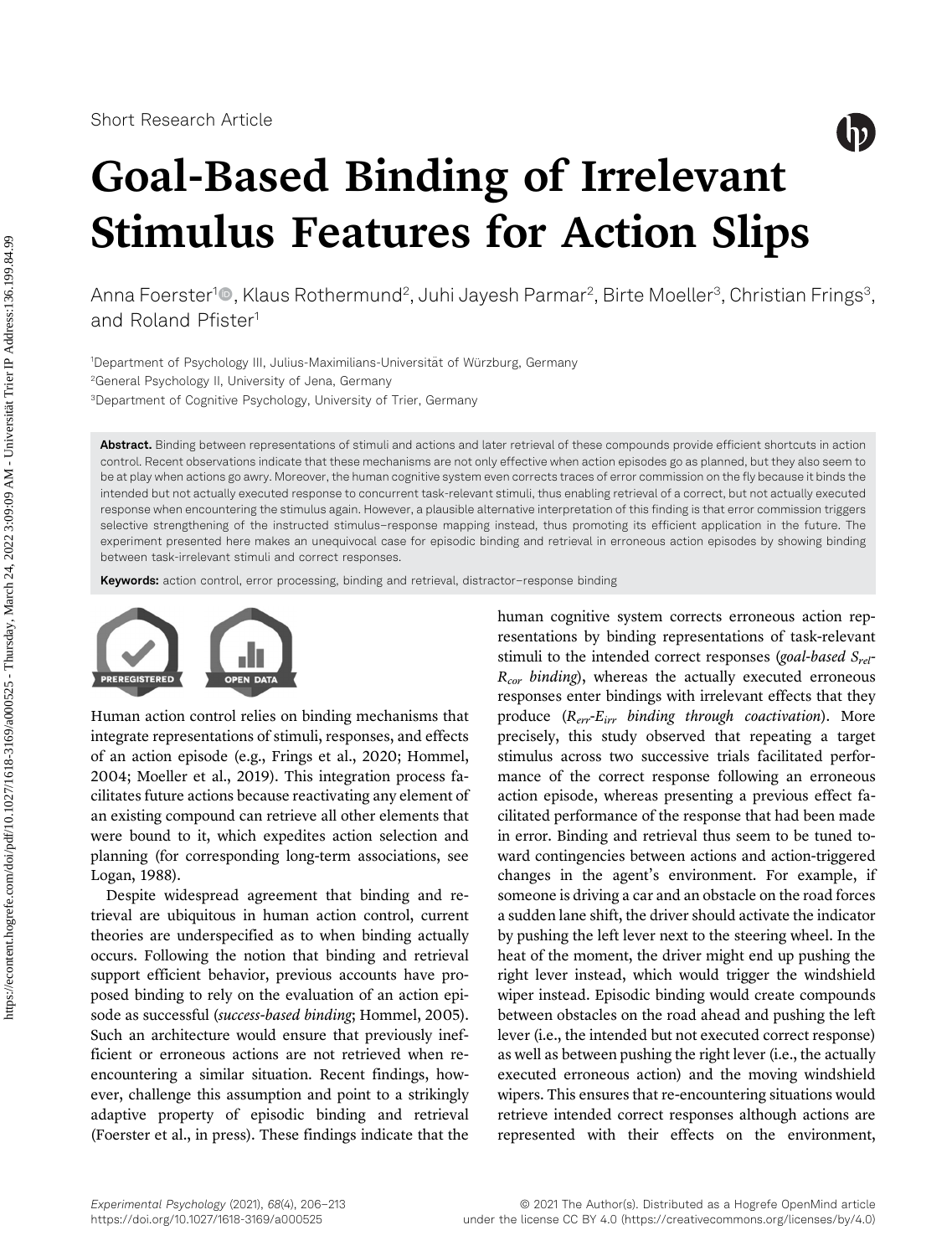# $\binom{1}{1}$

# Goal-Based Binding of Irrelevant Stimulus Features for Action Slips

Anna Foerster<sup>1</sup>®, Klaus Rothermund<sup>2</sup>, Juhi Jayesh Parmar<sup>2</sup>, Birte Moeller<sup>3</sup>, Christian Frings<sup>3</sup>, and Roland Pfister<sup>1</sup>

1Department of Psychology III, Julius-Maximilians-Universität of Würzburg, Germany 2 General Psychology II, University of Jena, Germany 3 Department of Cognitive Psychology, University of Trier, Germany

Abstract. Binding between representations of stimuli and actions and later retrieval of these compounds provide efficient shortcuts in action control. Recent observations indicate that these mechanisms are not only effective when action episodes go as planned, but they also seem to be at play when actions go awry. Moreover, the human cognitive system even corrects traces of error commission on the fly because it binds the intended but not actually executed response to concurrent task-relevant stimuli, thus enabling retrieval of a correct, but not actually executed response when encountering the stimulus again. However, a plausible alternative interpretation of this finding is that error commission triggers selective strengthening of the instructed stimulus–response mapping instead, thus promoting its efficient application in the future. The experiment presented here makes an unequivocal case for episodic binding and retrieval in erroneous action episodes by showing binding between task-irrelevant stimuli and correct responses.

Keywords: action control, error processing, binding and retrieval, distractor-response binding



Human action control relies on binding mechanisms that integrate representations of stimuli, responses, and effects of an action episode (e.g., [Frings et al., 2020](#page-6-0); [Hommel,](#page-6-1) [2004](#page-6-1); [Moeller et al., 2019\)](#page-7-0). This integration process facilitates future actions because reactivating any element of an existing compound can retrieve all other elements that were bound to it, which expedites action selection and planning (for corresponding long-term associations, see [Logan, 1988\)](#page-7-1).

Despite widespread agreement that binding and retrieval are ubiquitous in human action control, current theories are underspecified as to when binding actually occurs. Following the notion that binding and retrieval support efficient behavior, previous accounts have proposed binding to rely on the evaluation of an action episode as successful (success-based binding; [Hommel, 2005\)](#page-6-2). Such an architecture would ensure that previously inefficient or erroneous actions are not retrieved when reencountering a similar situation. Recent findings, however, challenge this assumption and point to a strikingly adaptive property of episodic binding and retrieval ([Foerster et al., in press](#page-6-3)). These findings indicate that the

human cognitive system corrects erroneous action representations by binding representations of task-relevant stimuli to the intended correct responses (goal-based  $S_{rel}$ - $R_{cor}$  binding), whereas the actually executed erroneous responses enter bindings with irrelevant effects that they produce  $(R_{err} - E_{irr}$  binding through coactivation). More precisely, this study observed that repeating a target stimulus across two successive trials facilitated performance of the correct response following an erroneous action episode, whereas presenting a previous effect facilitated performance of the response that had been made in error. Binding and retrieval thus seem to be tuned toward contingencies between actions and action-triggered changes in the agent's environment. For example, if someone is driving a car and an obstacle on the road forces a sudden lane shift, the driver should activate the indicator by pushing the left lever next to the steering wheel. In the heat of the moment, the driver might end up pushing the right lever instead, which would trigger the windshield wiper instead. Episodic binding would create compounds between obstacles on the road ahead and pushing the left lever (i.e., the intended but not executed correct response) as well as between pushing the right lever (i.e., the actually executed erroneous action) and the moving windshield wipers. This ensures that re-encountering situations would retrieve intended correct responses although actions are represented with their effects on the environment,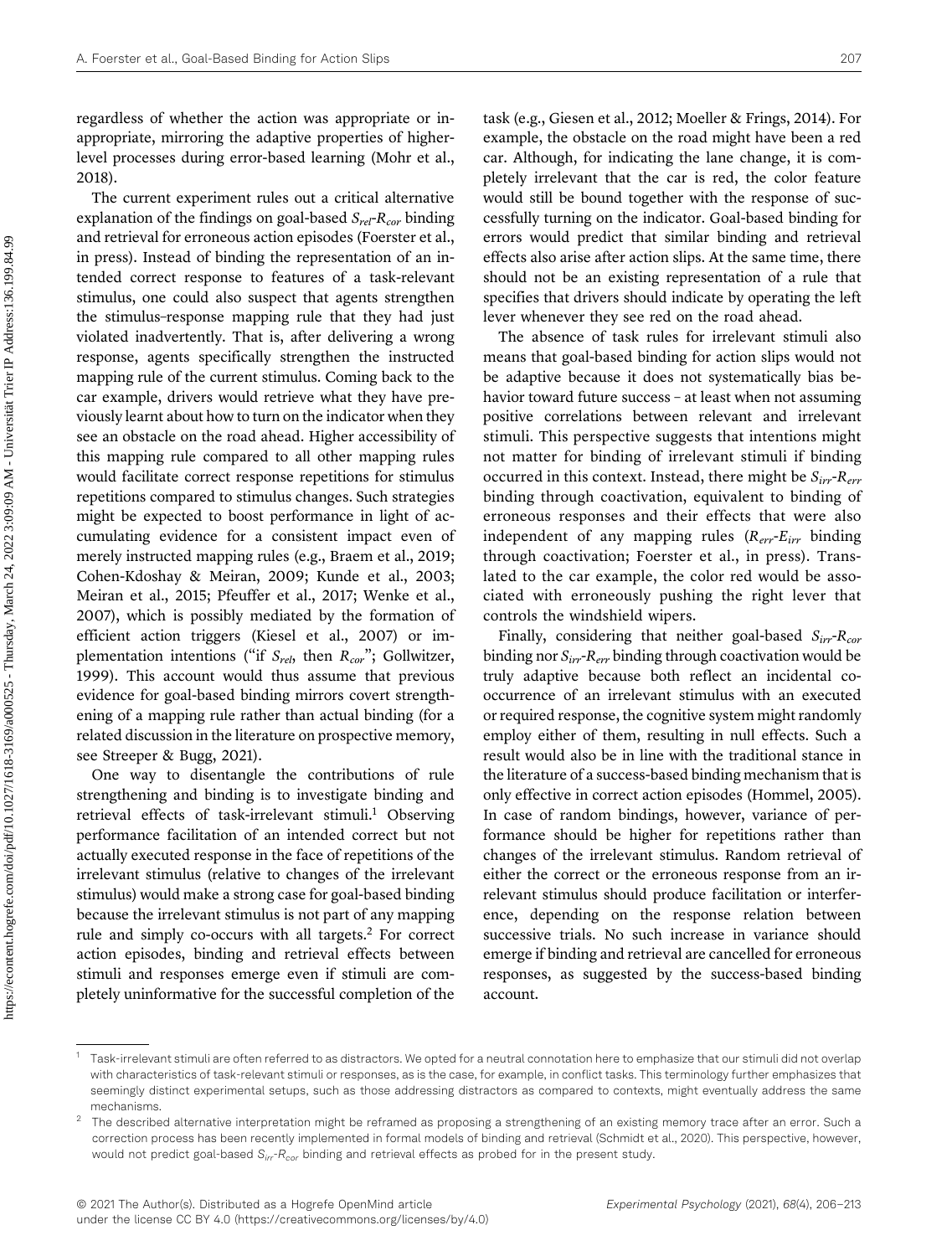The current experiment rules out a critical alternative explanation of the findings on goal-based  $S_{rel}$ - $R_{cor}$  binding and retrieval for erroneous action episodes [\(Foerster et al.,](#page-6-3) [in press](#page-6-3)). Instead of binding the representation of an intended correct response to features of a task-relevant stimulus, one could also suspect that agents strengthen the stimulus–response mapping rule that they had just violated inadvertently. That is, after delivering a wrong response, agents specifically strengthen the instructed mapping rule of the current stimulus. Coming back to the car example, drivers would retrieve what they have previously learnt about how to turn on the indicator when they see an obstacle on the road ahead. Higher accessibility of this mapping rule compared to all other mapping rules would facilitate correct response repetitions for stimulus repetitions compared to stimulus changes. Such strategies might be expected to boost performance in light of accumulating evidence for a consistent impact even of merely instructed mapping rules (e.g., [Braem et al., 2019;](#page-6-4) [Cohen-Kdoshay & Meiran, 2009](#page-6-5); [Kunde et al., 2003;](#page-7-3) [Meiran et al., 2015](#page-7-4); [Pfeuffer et al., 2017;](#page-7-5) [Wenke et al.,](#page-7-6) [2007](#page-7-6)), which is possibly mediated by the formation of efficient action triggers [\(Kiesel et al., 2007\)](#page-7-7) or implementation intentions ("if  $S_{rel}$ , then  $R_{cor}$ "; [Gollwitzer,](#page-6-6) [1999](#page-6-6)). This account would thus assume that previous evidence for goal-based binding mirrors covert strengthening of a mapping rule rather than actual binding (for a related discussion in the literature on prospective memory, see [Streeper & Bugg, 2021](#page-7-8)).

One way to disentangle the contributions of rule strengthening and binding is to investigate binding and retrieval effects of task-irrelevant stimuli.<sup>[1](#page-1-0)</sup> Observing performance facilitation of an intended correct but not actually executed response in the face of repetitions of the irrelevant stimulus (relative to changes of the irrelevant stimulus) would make a strong case for goal-based binding because the irrelevant stimulus is not part of any mapping rule and simply co-occurs with all targets[.2](#page-1-1) For correct action episodes, binding and retrieval effects between stimuli and responses emerge even if stimuli are completely uninformative for the successful completion of the

task (e.g., [Giesen et al., 2012](#page-6-7); [Moeller & Frings, 2014\)](#page-7-9). For example, the obstacle on the road might have been a red car. Although, for indicating the lane change, it is completely irrelevant that the car is red, the color feature would still be bound together with the response of successfully turning on the indicator. Goal-based binding for errors would predict that similar binding and retrieval effects also arise after action slips. At the same time, there should not be an existing representation of a rule that specifies that drivers should indicate by operating the left lever whenever they see red on the road ahead.

The absence of task rules for irrelevant stimuli also means that goal-based binding for action slips would not be adaptive because it does not systematically bias behavior toward future success – at least when not assuming positive correlations between relevant and irrelevant stimuli. This perspective suggests that intentions might not matter for binding of irrelevant stimuli if binding occurred in this context. Instead, there might be  $S_{irr}$ - $R_{err}$ binding through coactivation, equivalent to binding of erroneous responses and their effects that were also independent of any mapping rules  $(R_{err} - E_{irr})$  binding through coactivation; [Foerster et al., in press\)](#page-6-3). Translated to the car example, the color red would be associated with erroneously pushing the right lever that controls the windshield wipers.

Finally, considering that neither goal-based  $S_{irr}$ - $R_{cor}$ binding nor  $S_{irr}$ -R<sub>err</sub> binding through coactivation would be truly adaptive because both reflect an incidental cooccurrence of an irrelevant stimulus with an executed or required response, the cognitive system might randomly employ either of them, resulting in null effects. Such a result would also be in line with the traditional stance in the literature of a success-based binding mechanism that is only effective in correct action episodes [\(Hommel, 2005](#page-6-2)). In case of random bindings, however, variance of performance should be higher for repetitions rather than changes of the irrelevant stimulus. Random retrieval of either the correct or the erroneous response from an irrelevant stimulus should produce facilitation or interference, depending on the response relation between successive trials. No such increase in variance should emerge if binding and retrieval are cancelled for erroneous responses, as suggested by the success-based binding account.

<span id="page-1-0"></span> $^1$  Task-irrelevant stimuli are often referred to as distractors. We opted for a neutral connotation here to emphasize that our stimuli did not overlap with characteristics of task-relevant stimuli or responses, as is the case, for example, in conflict tasks. This terminology further emphasizes that seemingly distinct experimental setups, such as those addressing distractors as compared to contexts, might eventually address the same mechanisms.

<span id="page-1-1"></span>The described alternative interpretation might be reframed as proposing a strengthening of an existing memory trace after an error. Such a correction process has been recently implemented in formal models of binding and retrieval ([Schmidt et al., 2020](#page-7-10)). This perspective, however, would not predict goal-based  $S_{irr}R_{cor}$  binding and retrieval effects as probed for in the present study.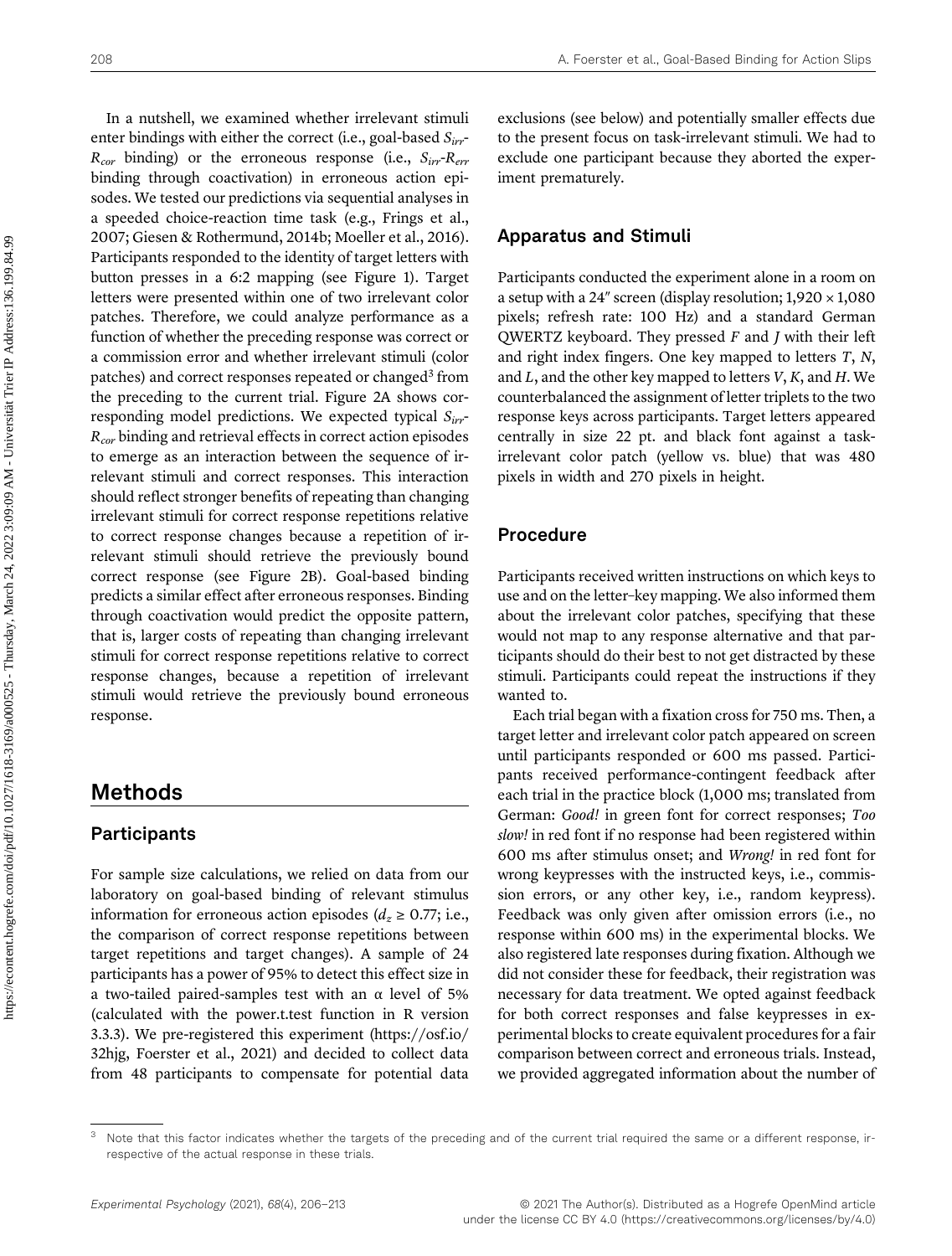In a nutshell, we examined whether irrelevant stimuli enter bindings with either the correct (i.e., goal-based  $S_{irr}$ - $R_{cor}$  binding) or the erroneous response (i.e.,  $S_{irr}$ - $R_{err}$ binding through coactivation) in erroneous action episodes. We tested our predictions via sequential analyses in a speeded choice-reaction time task (e.g., [Frings et al.,](#page-6-8) [2007](#page-6-8); [Giesen & Rothermund, 2014b;](#page-6-9) [Moeller et al., 2016\)](#page-7-11). Participants responded to the identity of target letters with button presses in a 6:2 mapping (see [Figure 1](#page-3-0)). Target letters were presented within one of two irrelevant color patches. Therefore, we could analyze performance as a function of whether the preceding response was correct or a commission error and whether irrelevant stimuli (color patches) and correct responses repeated or changed<sup>[3](#page-2-0)</sup> from the preceding to the current trial. [Figure 2A](#page-3-1) shows corresponding model predictions. We expected typical  $S_{irr}$ - $R_{cor}$  binding and retrieval effects in correct action episodes to emerge as an interaction between the sequence of irrelevant stimuli and correct responses. This interaction should reflect stronger benefits of repeating than changing irrelevant stimuli for correct response repetitions relative to correct response changes because a repetition of irrelevant stimuli should retrieve the previously bound correct response (see [Figure 2B\)](#page-3-1). Goal-based binding predicts a similar effect after erroneous responses. Binding through coactivation would predict the opposite pattern, that is, larger costs of repeating than changing irrelevant stimuli for correct response repetitions relative to correct response changes, because a repetition of irrelevant stimuli would retrieve the previously bound erroneous response.

# Methods

#### Participants

For sample size calculations, we relied on data from our laboratory on goal-based binding of relevant stimulus information for erroneous action episodes ( $d_z \ge 0.77$ ; i.e., the comparison of correct response repetitions between target repetitions and target changes). A sample of 24 participants has a power of 95% to detect this effect size in a two-tailed paired-samples test with an α level of 5% (calculated with the power.t.test function in R version 3.3.3). We pre-registered this experiment [\(https://osf.io/](https://osf.io/32hjg) [32hjg,](https://osf.io/32hjg) [Foerster et al., 2021](#page-6-10)) and decided to collect data from 48 participants to compensate for potential data

exclusions (see below) and potentially smaller effects due to the present focus on task-irrelevant stimuli. We had to exclude one participant because they aborted the experiment prematurely.

#### Apparatus and Stimuli

Participants conducted the experiment alone in a room on a setup with a 24" screen (display resolution;  $1,920 \times 1,080$ pixels; refresh rate: 100 Hz) and a standard German QWERTZ keyboard. They pressed  $F$  and  $J$  with their left and right index fingers. One key mapped to letters T, N, and  $L$ , and the other key mapped to letters  $V, K$ , and  $H$ . We counterbalanced the assignment of letter triplets to the two response keys across participants. Target letters appeared centrally in size 22 pt. and black font against a taskirrelevant color patch (yellow vs. blue) that was 480 pixels in width and 270 pixels in height.

### Procedure

Participants received written instructions on which keys to use and on the letter–key mapping. We also informed them about the irrelevant color patches, specifying that these would not map to any response alternative and that participants should do their best to not get distracted by these stimuli. Participants could repeat the instructions if they wanted to.

Each trial began with a fixation cross for 750 ms. Then, a target letter and irrelevant color patch appeared on screen until participants responded or 600 ms passed. Participants received performance-contingent feedback after each trial in the practice block (1,000 ms; translated from German: Good! in green font for correct responses; Too slow! in red font if no response had been registered within 600 ms after stimulus onset; and Wrong! in red font for wrong keypresses with the instructed keys, i.e., commission errors, or any other key, i.e., random keypress). Feedback was only given after omission errors (i.e., no response within 600 ms) in the experimental blocks. We also registered late responses during fixation. Although we did not consider these for feedback, their registration was necessary for data treatment. We opted against feedback for both correct responses and false keypresses in experimental blocks to create equivalent procedures for a fair comparison between correct and erroneous trials. Instead, we provided aggregated information about the number of

<span id="page-2-0"></span>Note that this factor indicates whether the targets of the preceding and of the current trial required the same or a different response, irrespective of the actual response in these trials.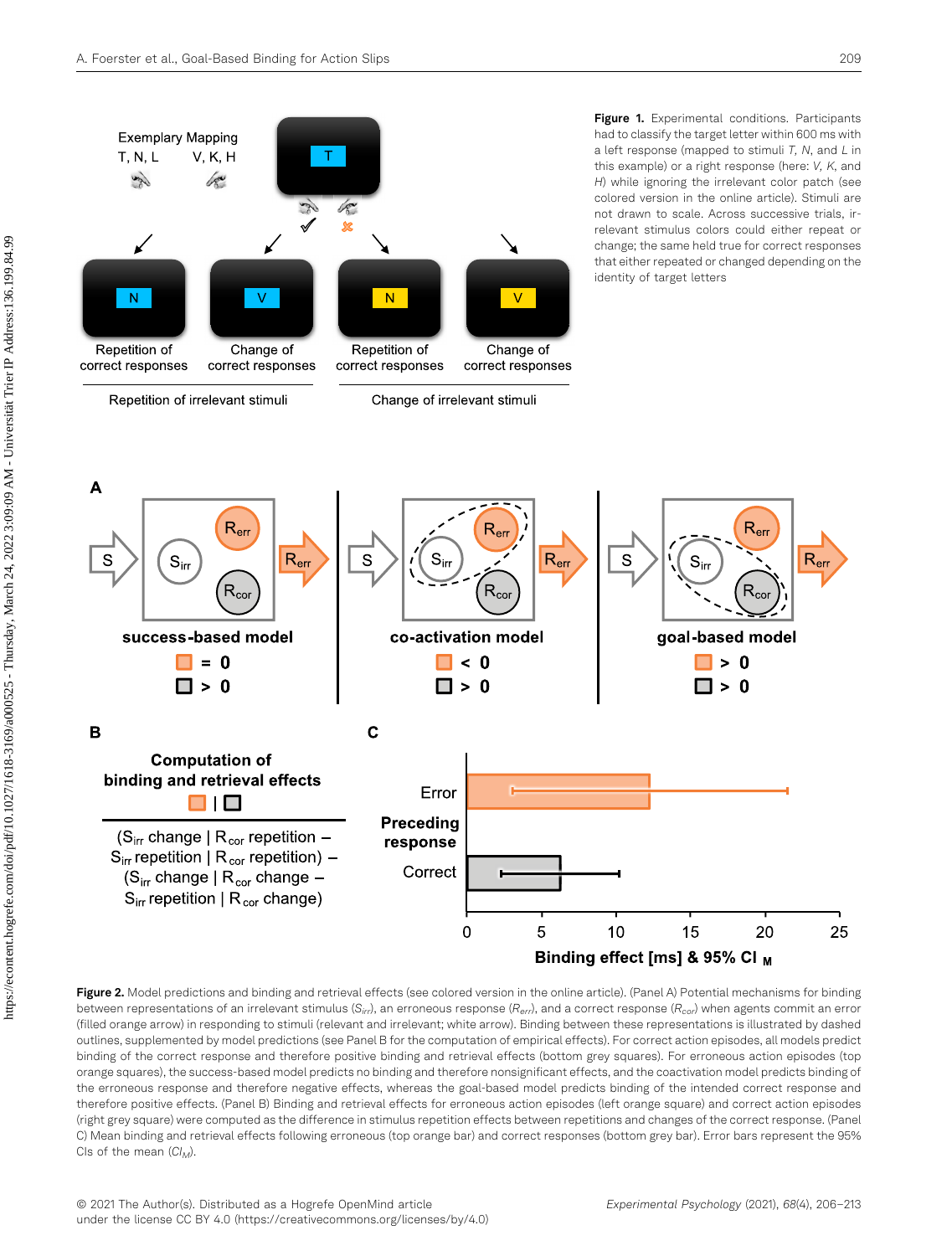<span id="page-3-0"></span>

<span id="page-3-1"></span>Figure 2. Model predictions and binding and retrieval effects (see colored version in the online article). (Panel A) Potential mechanisms for binding between representations of an irrelevant stimulus (S<sub>irr</sub>), an erroneous response (R<sub>err</sub>), and a correct response (R<sub>cor</sub>) when agents commit an error (filled orange arrow) in responding to stimuli (relevant and irrelevant; white arrow). Binding between these representations is illustrated by dashed outlines, supplemented by model predictions (see Panel B for the computation of empirical effects). For correct action episodes, all models predict binding of the correct response and therefore positive binding and retrieval effects (bottom grey squares). For erroneous action episodes (top orange squares), the success-based model predicts no binding and therefore nonsignificant effects, and the coactivation model predicts binding of the erroneous response and therefore negative effects, whereas the goal-based model predicts binding of the intended correct response and therefore positive effects. (Panel B) Binding and retrieval effects for erroneous action episodes (left orange square) and correct action episodes (right grey square) were computed as the difference in stimulus repetition effects between repetitions and changes of the correct response. (Panel C) Mean binding and retrieval effects following erroneous (top orange bar) and correct responses (bottom grey bar). Error bars represent the 95% CIs of the mean  $(Cl_M)$ .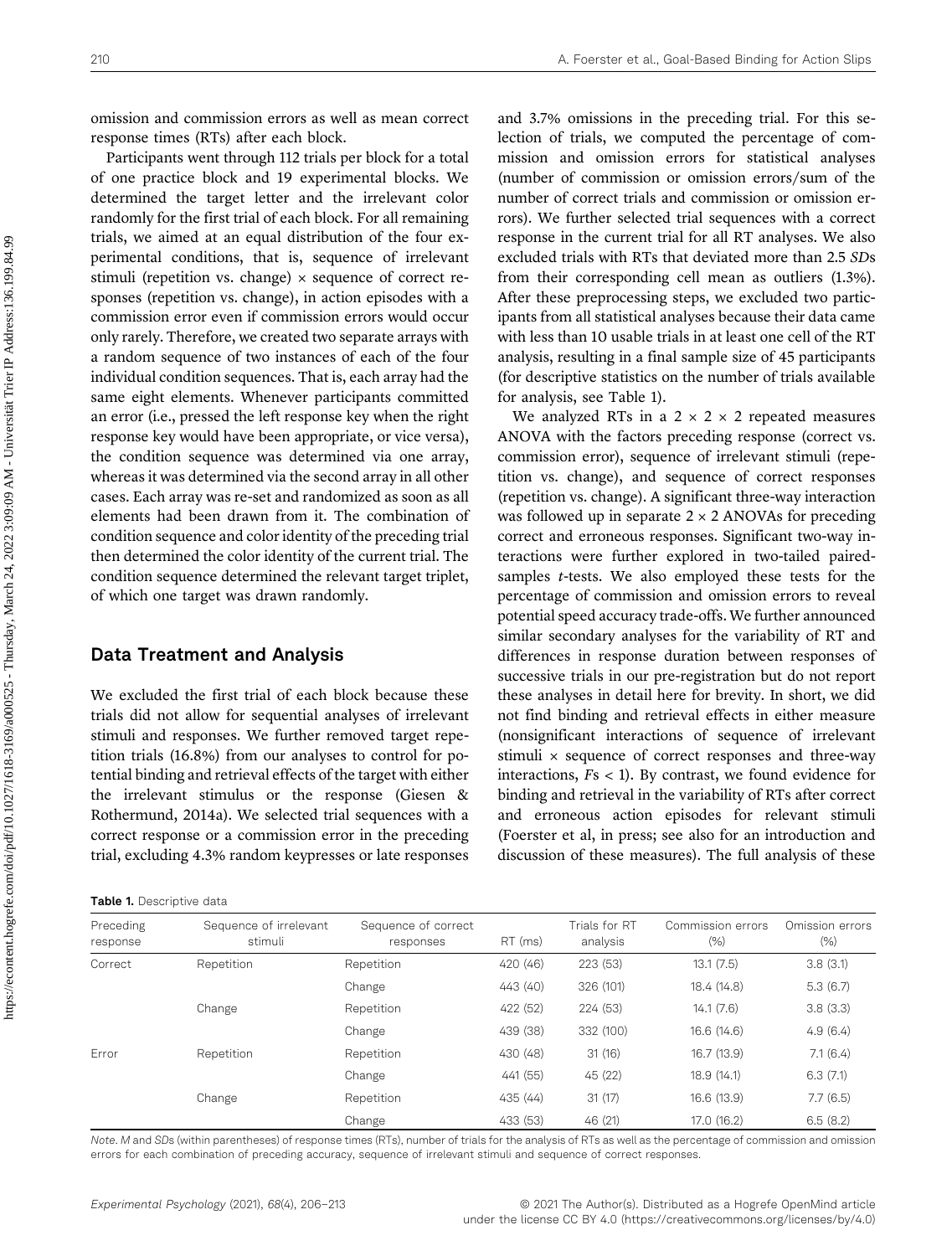omission and commission errors as well as mean correct response times (RTs) after each block.

Participants went through 112 trials per block for a total of one practice block and 19 experimental blocks. We determined the target letter and the irrelevant color randomly for the first trial of each block. For all remaining trials, we aimed at an equal distribution of the four experimental conditions, that is, sequence of irrelevant stimuli (repetition vs. change)  $\times$  sequence of correct responses (repetition vs. change), in action episodes with a commission error even if commission errors would occur only rarely. Therefore, we created two separate arrays with a random sequence of two instances of each of the four individual condition sequences. That is, each array had the same eight elements. Whenever participants committed an error (i.e., pressed the left response key when the right response key would have been appropriate, or vice versa), the condition sequence was determined via one array, whereas it was determined via the second array in all other cases. Each array was re-set and randomized as soon as all elements had been drawn from it. The combination of condition sequence and color identity of the preceding trial then determined the color identity of the current trial. The condition sequence determined the relevant target triplet, of which one target was drawn randomly.

#### Data Treatment and Analysis

We excluded the first trial of each block because these trials did not allow for sequential analyses of irrelevant stimuli and responses. We further removed target repetition trials (16.8%) from our analyses to control for potential binding and retrieval effects of the target with either the irrelevant stimulus or the response [\(Giesen &](#page-6-11) [Rothermund, 2014a\)](#page-6-11). We selected trial sequences with a correct response or a commission error in the preceding trial, excluding 4.3% random keypresses or late responses

<span id="page-4-0"></span>

and 3.7% omissions in the preceding trial. For this selection of trials, we computed the percentage of commission and omission errors for statistical analyses (number of commission or omission errors/sum of the number of correct trials and commission or omission errors). We further selected trial sequences with a correct response in the current trial for all RT analyses. We also excluded trials with RTs that deviated more than 2.5 SDs from their corresponding cell mean as outliers (1.3%). After these preprocessing steps, we excluded two participants from all statistical analyses because their data came with less than 10 usable trials in at least one cell of the RT analysis, resulting in a final sample size of 45 participants (for descriptive statistics on the number of trials available for analysis, see [Table 1](#page-4-0)).

We analyzed RTs in a  $2 \times 2 \times 2$  repeated measures ANOVA with the factors preceding response (correct vs. commission error), sequence of irrelevant stimuli (repetition vs. change), and sequence of correct responses (repetition vs. change). A significant three-way interaction was followed up in separate  $2 \times 2$  ANOVAs for preceding correct and erroneous responses. Significant two-way interactions were further explored in two-tailed pairedsamples t-tests. We also employed these tests for the percentage of commission and omission errors to reveal potential speed accuracy trade-offs. We further announced similar secondary analyses for the variability of RT and differences in response duration between responses of successive trials in our pre-registration but do not report these analyses in detail here for brevity. In short, we did not find binding and retrieval effects in either measure (nonsignificant interactions of sequence of irrelevant stimuli  $\times$  sequence of correct responses and three-way interactions, Fs < 1). By contrast, we found evidence for binding and retrieval in the variability of RTs after correct and erroneous action episodes for relevant stimuli (Foerster et al, in press; see also for an introduction and discussion of these measures). The full analysis of these

| Preceding<br>response | Sequence of irrelevant<br>stimuli | Sequence of correct<br>responses | RT (ms)  | Trials for RT<br>analysis | Commission errors<br>$(\%)$ | Omission errors<br>$(\% )$ |
|-----------------------|-----------------------------------|----------------------------------|----------|---------------------------|-----------------------------|----------------------------|
| Correct               | Repetition                        | Repetition                       | 420 (46) | 223 (53)                  | 13.1(7.5)                   | 3.8(3.1)                   |
|                       |                                   | Change                           | 443 (40) | 326 (101)                 | 18.4 (14.8)                 | 5.3(6.7)                   |
|                       | Change                            | Repetition                       | 422 (52) | 224 (53)                  | 14.1(7.6)                   | 3.8(3.3)                   |
|                       |                                   | Change                           | 439 (38) | 332 (100)                 | 16.6 (14.6)                 | 4.9(6.4)                   |
| Error                 | Repetition                        | Repetition                       | 430 (48) | 31(16)                    | 16.7 (13.9)                 | 7.1(6.4)                   |
|                       |                                   | Change                           | 441 (55) | 45 (22)                   | 18.9 (14.1)                 | 6.3(7.1)                   |
|                       | Change                            | Repetition                       | 435 (44) | 31(17)                    | 16.6 (13.9)                 | 7.7(6.5)                   |
|                       |                                   | Change                           | 433 (53) | 46 (21)                   | 17.0 (16.2)                 | 6.5(8.2)                   |

Note. M and SDs (within parentheses) of response times (RTs), number of trials for the analysis of RTs as well as the percentage of commission and omission errors for each combination of preceding accuracy, sequence of irrelevant stimuli and sequence of correct responses.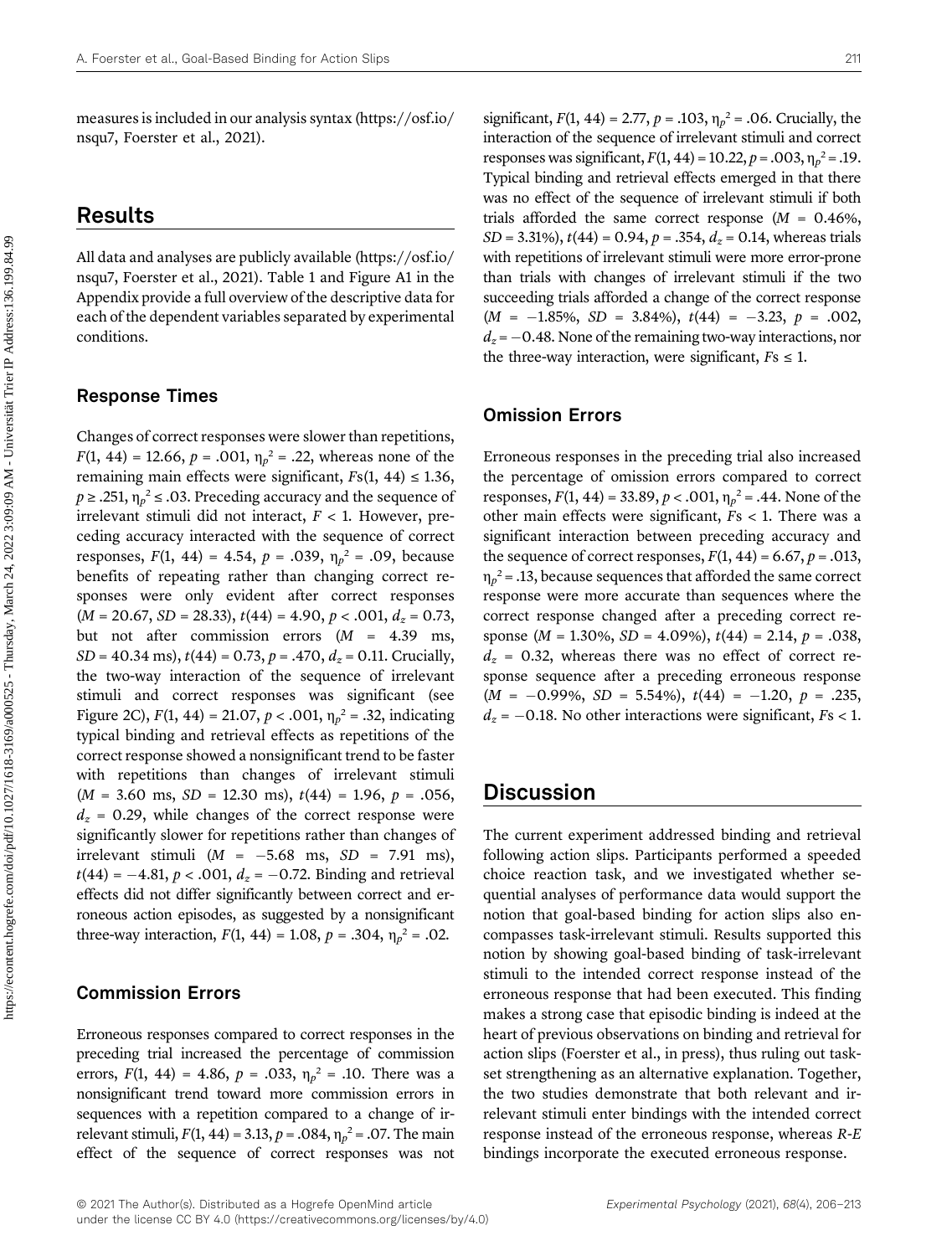measures is included in our analysis syntax [\(https://osf.io/](https://osf.io/nsqu7) [nsqu7,](https://osf.io/nsqu7) [Foerster et al., 2021](#page-6-10)).

# Results

All data and analyses are publicly available [\(https://osf.io/](https://osf.io/nsqu7) [nsqu7,](https://osf.io/nsqu7) [Foerster et al., 2021\)](#page-6-10). [Table 1](#page-4-0) and [Figure A1](#page-7-12) in the Appendix provide a full overview of the descriptive data for each of the dependent variables separated by experimental conditions.

#### Response Times

Changes of correct responses were slower than repetitions,  $F(1, 44) = 12.66, p = .001, \eta_p^2 = .22$ , whereas none of the remaining main effects were significant,  $Fs(1, 44) \le 1.36$ ,  $p \geq 0.251$ ,  $\eta_p^2 \leq 0.03$ . Preceding accuracy and the sequence of irrelevant stimuli did not interact,  $F < 1$ . However, preceding accuracy interacted with the sequence of correct responses,  $F(1, 44) = 4.54$ ,  $p = .039$ ,  $\eta_p^2 = .09$ , because benefits of repeating rather than changing correct responses were only evident after correct responses  $(M = 20.67, SD = 28.33), t(44) = 4.90, p < .001, d<sub>z</sub> = 0.73,$ but not after commission errors  $(M = 4.39 \text{ ms})$ ,  $SD = 40.34$  ms),  $t(44) = 0.73$ ,  $p = .470$ ,  $d<sub>z</sub> = 0.11$ . Crucially, the two-way interaction of the sequence of irrelevant stimuli and correct responses was significant (see [Figure 2C](#page-3-1)),  $F(1, 44) = 21.07$ ,  $p < .001$ ,  $\eta_p^2 = .32$ , indicating typical binding and retrieval effects as repetitions of the correct response showed a nonsignificant trend to be faster with repetitions than changes of irrelevant stimuli  $(M = 3.60 \text{ ms}, SD = 12.30 \text{ ms}), t(44) = 1.96, p = .056,$  $d_z$  = 0.29, while changes of the correct response were significantly slower for repetitions rather than changes of irrelevant stimuli ( $M = -5.68$  ms,  $SD = 7.91$  ms),  $t(44) = -4.81, p < .001, d<sub>z</sub> = -0.72$ . Binding and retrieval effects did not differ significantly between correct and erroneous action episodes, as suggested by a nonsignificant three-way interaction,  $F(1, 44) = 1.08$ ,  $p = .304$ ,  $\eta_p^2 = .02$ .

#### Commission Errors

Erroneous responses compared to correct responses in the preceding trial increased the percentage of commission errors,  $F(1, 44) = 4.86$ ,  $p = .033$ ,  $\eta_p^2 = .10$ . There was a nonsignificant trend toward more commission errors in sequences with a repetition compared to a change of irrelevant stimuli,  $F(1, 44) = 3.13$ ,  $p = .084$ ,  $\eta_p^2 = .07$ . The main effect of the sequence of correct responses was not

significant,  $F(1, 44) = 2.77$ ,  $p = .103$ ,  $\eta_p^2 = .06$ . Crucially, the interaction of the sequence of irrelevant stimuli and correct responses was significant,  $F(1, 44) = 10.22$ ,  $p = .003$ ,  $\eta_p^2 = .19$ . Typical binding and retrieval effects emerged in that there was no effect of the sequence of irrelevant stimuli if both trials afforded the same correct response  $(M = 0.46\%,$  $SD = 3.31\%, t(44) = 0.94, p = .354, d_z = 0.14$ , whereas trials with repetitions of irrelevant stimuli were more error-prone than trials with changes of irrelevant stimuli if the two succeeding trials afforded a change of the correct response  $(M = -1.85\%, SD = 3.84\%), t(44) = -3.23, p = .002,$  $d_z = -0.48$ . None of the remaining two-way interactions, nor the three-way interaction, were significant,  $Fs \leq 1$ .

#### Omission Errors

Erroneous responses in the preceding trial also increased the percentage of omission errors compared to correct responses,  $F(1, 44) = 33.89, p < .001, \eta_p^2 = .44$ . None of the other main effects were significant,  $Fs < 1$ . There was a significant interaction between preceding accuracy and the sequence of correct responses,  $F(1, 44) = 6.67$ ,  $p = .013$ ,  $\eta_p^2$  = .13, because sequences that afforded the same correct response were more accurate than sequences where the correct response changed after a preceding correct response ( $M = 1.30\%$ ,  $SD = 4.09\%$ ),  $t(44) = 2.14$ ,  $p = .038$ ,  $d<sub>z</sub> = 0.32$ , whereas there was no effect of correct response sequence after a preceding erroneous response  $(M = -0.99\%, SD = 5.54\%), t(44) = -1.20, p = .235,$  $d_z = -0.18$ . No other interactions were significant,  $Fs < 1$ .

# **Discussion**

The current experiment addressed binding and retrieval following action slips. Participants performed a speeded choice reaction task, and we investigated whether sequential analyses of performance data would support the notion that goal-based binding for action slips also encompasses task-irrelevant stimuli. Results supported this notion by showing goal-based binding of task-irrelevant stimuli to the intended correct response instead of the erroneous response that had been executed. This finding makes a strong case that episodic binding is indeed at the heart of previous observations on binding and retrieval for action slips ([Foerster et al., in press\)](#page-6-3), thus ruling out taskset strengthening as an alternative explanation. Together, the two studies demonstrate that both relevant and irrelevant stimuli enter bindings with the intended correct response instead of the erroneous response, whereas R-E bindings incorporate the executed erroneous response.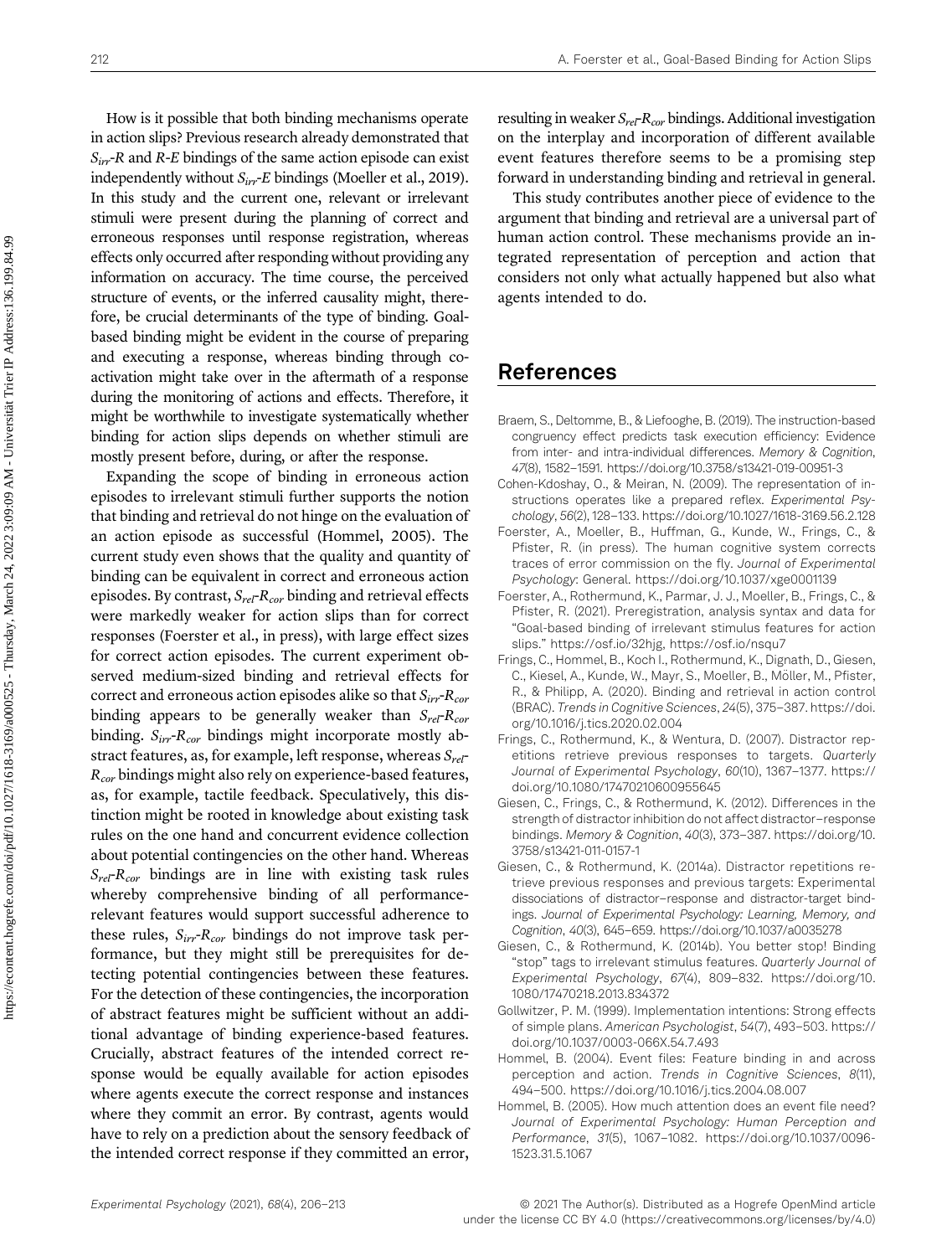How is it possible that both binding mechanisms operate in action slips? Previous research already demonstrated that  $S_{irr}$ -R and R-E bindings of the same action episode can exist independently without  $S_{irr}E$  bindings ([Moeller et al., 2019\)](#page-7-0). In this study and the current one, relevant or irrelevant stimuli were present during the planning of correct and erroneous responses until response registration, whereas effects only occurred after responding without providing any information on accuracy. The time course, the perceived structure of events, or the inferred causality might, therefore, be crucial determinants of the type of binding. Goalbased binding might be evident in the course of preparing and executing a response, whereas binding through coactivation might take over in the aftermath of a response during the monitoring of actions and effects. Therefore, it might be worthwhile to investigate systematically whether binding for action slips depends on whether stimuli are mostly present before, during, or after the response.

Expanding the scope of binding in erroneous action episodes to irrelevant stimuli further supports the notion that binding and retrieval do not hinge on the evaluation of an action episode as successful [\(Hommel, 2005\)](#page-6-2). The current study even shows that the quality and quantity of binding can be equivalent in correct and erroneous action episodes. By contrast,  $S_{rel}$ - $R_{cor}$  binding and retrieval effects were markedly weaker for action slips than for correct responses ([Foerster et al., in press](#page-6-3)), with large effect sizes for correct action episodes. The current experiment observed medium-sized binding and retrieval effects for correct and erroneous action episodes alike so that  $S_{irr}$ - $R_{cor}$ binding appears to be generally weaker than  $S_{rel}$ - $R_{cor}$ binding.  $S_{irr}$ - $R_{cor}$  bindings might incorporate mostly abstract features, as, for example, left response, whereas  $S_{\text{rel}}$  $R_{cor}$  bindings might also rely on experience-based features, as, for example, tactile feedback. Speculatively, this distinction might be rooted in knowledge about existing task rules on the one hand and concurrent evidence collection about potential contingencies on the other hand. Whereas  $S_{rel}$ - $R_{cor}$  bindings are in line with existing task rules whereby comprehensive binding of all performancerelevant features would support successful adherence to these rules,  $S_{irr}$ - $R_{cor}$  bindings do not improve task performance, but they might still be prerequisites for detecting potential contingencies between these features. For the detection of these contingencies, the incorporation of abstract features might be sufficient without an additional advantage of binding experience-based features. Crucially, abstract features of the intended correct response would be equally available for action episodes where agents execute the correct response and instances where they commit an error. By contrast, agents would have to rely on a prediction about the sensory feedback of the intended correct response if they committed an error,

resulting in weaker  $S_{rel}$ - $R_{cor}$  bindings. Additional investigation on the interplay and incorporation of different available event features therefore seems to be a promising step forward in understanding binding and retrieval in general.

This study contributes another piece of evidence to the argument that binding and retrieval are a universal part of human action control. These mechanisms provide an integrated representation of perception and action that considers not only what actually happened but also what agents intended to do.

# References

- <span id="page-6-4"></span>Braem, S., Deltomme, B., & Liefooghe, B. (2019). The instruction-based congruency effect predicts task execution efficiency: Evidence from inter- and intra-individual differences. Memory & Cognition, 47(8), 1582–1591.<https://doi.org/10.3758/s13421-019-00951-3>
- <span id="page-6-5"></span>Cohen-Kdoshay, O., & Meiran, N. (2009). The representation of instructions operates like a prepared reflex. Experimental Psychology, 56(2), 128–133.<https://doi.org/10.1027/1618-3169.56.2.128>
- <span id="page-6-3"></span>Foerster, A., Moeller, B., Huffman, G., Kunde, W., Frings, C., & Pfister, R. (in press). The human cognitive system corrects traces of error commission on the fly. Journal of Experimental Psychology: General.<https://doi.org/10.1037/xge0001139>
- <span id="page-6-10"></span>Foerster, A., Rothermund, K., Parmar, J. J., Moeller, B., Frings, C., & Pfister, R. (2021). Preregistration, analysis syntax and data for "Goal-based binding of irrelevant stimulus features for action slips." <https://osf.io/32hjg>,<https://osf.io/nsqu7>
- <span id="page-6-0"></span>Frings, C., Hommel, B., Koch I., Rothermund, K., Dignath, D., Giesen, C., Kiesel, A., Kunde, W., Mayr, S., Moeller, B., Möller, M., Pfister, R., & Philipp, A. (2020). Binding and retrieval in action control (BRAC). Trends in Cognitive Sciences, 24(5), 375–387. [https://doi.](https://doi.org/10.1016/j.tics.2020.02.004) [org/10.1016/j.tics.2020.02.004](https://doi.org/10.1016/j.tics.2020.02.004)
- <span id="page-6-8"></span>Frings, C., Rothermund, K., & Wentura, D. (2007). Distractor repetitions retrieve previous responses to targets. Quarterly Journal of Experimental Psychology, 60(10), 1367–1377. [https://](https://doi.org/10.1080/17470210600955645) [doi.org/10.1080/17470210600955645](https://doi.org/10.1080/17470210600955645)
- <span id="page-6-7"></span>Giesen, C., Frings, C., & Rothermund, K. (2012). Differences in the strength of distractor inhibition do not affect distractor–response bindings. Memory & Cognition, 40(3), 373–387. [https://doi.org/10.](https://doi.org/10.3758/s13421-011-0157-1) [3758/s13421-011-0157-1](https://doi.org/10.3758/s13421-011-0157-1)
- <span id="page-6-11"></span>Giesen, C., & Rothermund, K. (2014a). Distractor repetitions retrieve previous responses and previous targets: Experimental dissociations of distractor–response and distractor-target bindings. Journal of Experimental Psychology: Learning, Memory, and Cognition, 40(3), 645–659.<https://doi.org/10.1037/a0035278>
- <span id="page-6-9"></span>Giesen, C., & Rothermund, K. (2014b). You better stop! Binding "stop" tags to irrelevant stimulus features. Quarterly Journal of Experimental Psychology, 67(4), 809–832. [https://doi.org/10.](https://doi.org/10.1080/17470218.2013.834372) [1080/17470218.2013.834372](https://doi.org/10.1080/17470218.2013.834372)
- <span id="page-6-6"></span>Gollwitzer, P. M. (1999). Implementation intentions: Strong effects of simple plans. American Psychologist, 54(7), 493–503. [https://](https://doi.org/10.1037/0003-066X.54.7.493) [doi.org/10.1037/0003-066X.54.7.493](https://doi.org/10.1037/0003-066X.54.7.493)
- <span id="page-6-1"></span>Hommel, B. (2004). Event files: Feature binding in and across perception and action. Trends in Cognitive Sciences, 8(11), 494–500.<https://doi.org/10.1016/j.tics.2004.08.007>
- <span id="page-6-2"></span>Hommel, B. (2005). How much attention does an event file need? Journal of Experimental Psychology: Human Perception and Performance, 31(5), 1067–1082. [https://doi.org/10.1037/0096-](https://doi.org/10.1037/0096-1523.31.5.1067) [1523.31.5.1067](https://doi.org/10.1037/0096-1523.31.5.1067)